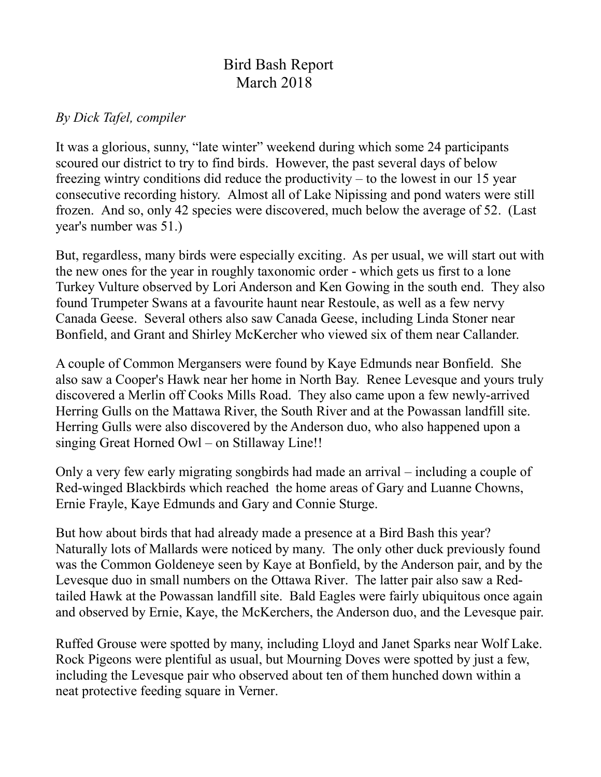## Bird Bash Report March 2018

## *By Dick Tafel, compiler*

It was a glorious, sunny, "late winter" weekend during which some 24 participants scoured our district to try to find birds. However, the past several days of below freezing wintry conditions did reduce the productivity – to the lowest in our 15 year consecutive recording history. Almost all of Lake Nipissing and pond waters were still frozen. And so, only 42 species were discovered, much below the average of 52. (Last year's number was 51.)

But, regardless, many birds were especially exciting. As per usual, we will start out with the new ones for the year in roughly taxonomic order - which gets us first to a lone Turkey Vulture observed by Lori Anderson and Ken Gowing in the south end. They also found Trumpeter Swans at a favourite haunt near Restoule, as well as a few nervy Canada Geese. Several others also saw Canada Geese, including Linda Stoner near Bonfield, and Grant and Shirley McKercher who viewed six of them near Callander.

A couple of Common Mergansers were found by Kaye Edmunds near Bonfield. She also saw a Cooper's Hawk near her home in North Bay. Renee Levesque and yours truly discovered a Merlin off Cooks Mills Road. They also came upon a few newly-arrived Herring Gulls on the Mattawa River, the South River and at the Powassan landfill site. Herring Gulls were also discovered by the Anderson duo, who also happened upon a singing Great Horned Owl – on Stillaway Line!!

Only a very few early migrating songbirds had made an arrival – including a couple of Red-winged Blackbirds which reached the home areas of Gary and Luanne Chowns, Ernie Frayle, Kaye Edmunds and Gary and Connie Sturge.

But how about birds that had already made a presence at a Bird Bash this year? Naturally lots of Mallards were noticed by many. The only other duck previously found was the Common Goldeneye seen by Kaye at Bonfield, by the Anderson pair, and by the Levesque duo in small numbers on the Ottawa River. The latter pair also saw a Redtailed Hawk at the Powassan landfill site. Bald Eagles were fairly ubiquitous once again and observed by Ernie, Kaye, the McKerchers, the Anderson duo, and the Levesque pair.

Ruffed Grouse were spotted by many, including Lloyd and Janet Sparks near Wolf Lake. Rock Pigeons were plentiful as usual, but Mourning Doves were spotted by just a few, including the Levesque pair who observed about ten of them hunched down within a neat protective feeding square in Verner.